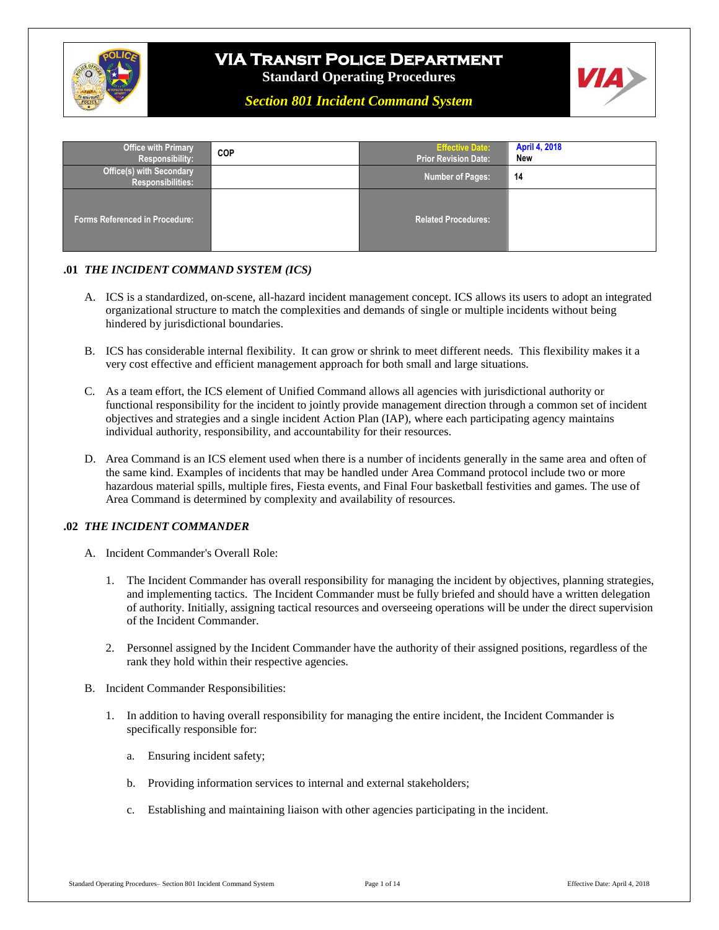

# **VIA Transit Police Department**

**Standard Operating Procedures**



*Section 801 Incident Command System*

| <b>Office with Primary</b><br><b>Responsibility:</b>        | <b>COP</b> | <b>Effective Date:</b><br><b>Prior Revision Date:</b> | <b>April 4, 2018</b><br>New |
|-------------------------------------------------------------|------------|-------------------------------------------------------|-----------------------------|
| <b>Office(s) with Secondary</b><br><b>Responsibilities:</b> |            | Number of Pages:                                      | 14                          |
| <b>Forms Referenced in Procedure:</b>                       |            | <b>Related Procedures:</b>                            |                             |

### **.01** *THE INCIDENT COMMAND SYSTEM (ICS)*

- A. ICS is a standardized, on-scene, all-hazard incident management concept. ICS allows its users to adopt an integrated organizational structure to match the complexities and demands of single or multiple incidents without being hindered by jurisdictional boundaries.
- B. ICS has considerable internal flexibility. It can grow or shrink to meet different needs. This flexibility makes it a very cost effective and efficient management approach for both small and large situations.
- C. As a team effort, the ICS element of Unified Command allows all agencies with jurisdictional authority or functional responsibility for the incident to jointly provide management direction through a common set of incident objectives and strategies and a single incident Action Plan (IAP), where each participating agency maintains individual authority, responsibility, and accountability for their resources.
- D. Area Command is an ICS element used when there is a number of incidents generally in the same area and often of the same kind. Examples of incidents that may be handled under Area Command protocol include two or more hazardous material spills, multiple fires, Fiesta events, and Final Four basketball festivities and games. The use of Area Command is determined by complexity and availability of resources.

#### **.02** *THE INCIDENT COMMANDER*

- A. Incident Commander's Overall Role:
	- 1. The Incident Commander has overall responsibility for managing the incident by objectives, planning strategies, and implementing tactics. The Incident Commander must be fully briefed and should have a written delegation of authority. Initially, assigning tactical resources and overseeing operations will be under the direct supervision of the Incident Commander.
	- 2. Personnel assigned by the Incident Commander have the authority of their assigned positions, regardless of the rank they hold within their respective agencies.
- B. Incident Commander Responsibilities:
	- 1. In addition to having overall responsibility for managing the entire incident, the Incident Commander is specifically responsible for:
		- a. Ensuring incident safety;
		- b. Providing information services to internal and external stakeholders;
		- c. Establishing and maintaining liaison with other agencies participating in the incident.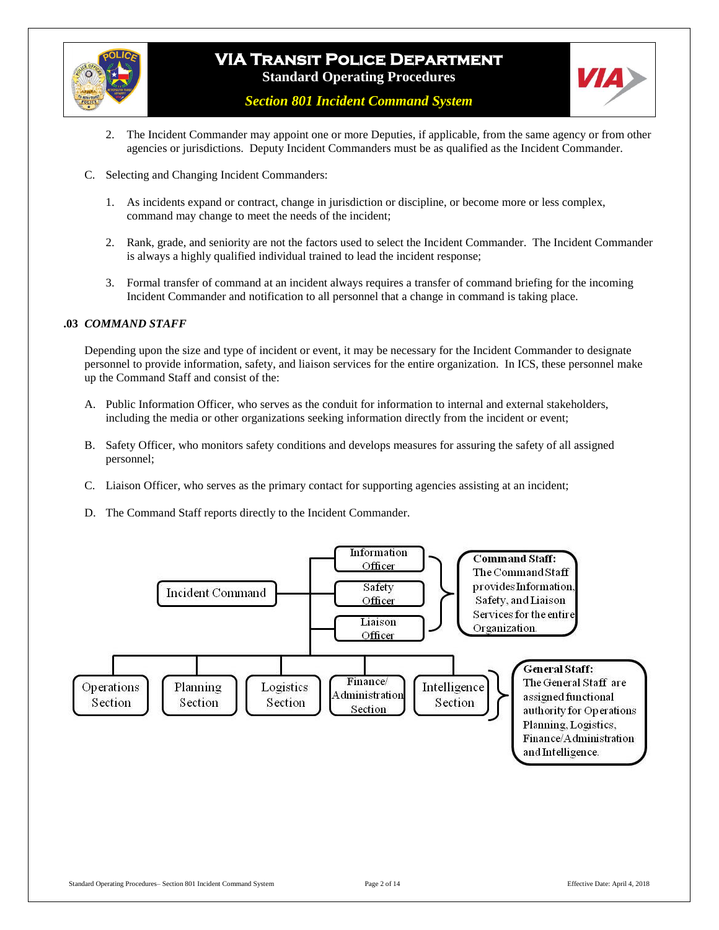



*Section 801 Incident Command System*

- 2. The Incident Commander may appoint one or more Deputies, if applicable, from the same agency or from other agencies or jurisdictions. Deputy Incident Commanders must be as qualified as the Incident Commander.
- C. Selecting and Changing Incident Commanders:
	- 1. As incidents expand or contract, change in jurisdiction or discipline, or become more or less complex, command may change to meet the needs of the incident;
	- 2. Rank, grade, and seniority are not the factors used to select the Incident Commander. The Incident Commander is always a highly qualified individual trained to lead the incident response;
	- 3. Formal transfer of command at an incident always requires a transfer of command briefing for the incoming Incident Commander and notification to all personnel that a change in command is taking place.

#### **.03** *COMMAND STAFF*

Depending upon the size and type of incident or event, it may be necessary for the Incident Commander to designate personnel to provide information, safety, and liaison services for the entire organization. In ICS, these personnel make up the Command Staff and consist of the:

- A. Public Information Officer, who serves as the conduit for information to internal and external stakeholders, including the media or other organizations seeking information directly from the incident or event;
- B. Safety Officer, who monitors safety conditions and develops measures for assuring the safety of all assigned personnel;
- C. Liaison Officer, who serves as the primary contact for supporting agencies assisting at an incident;
- D. The Command Staff reports directly to the Incident Commander.

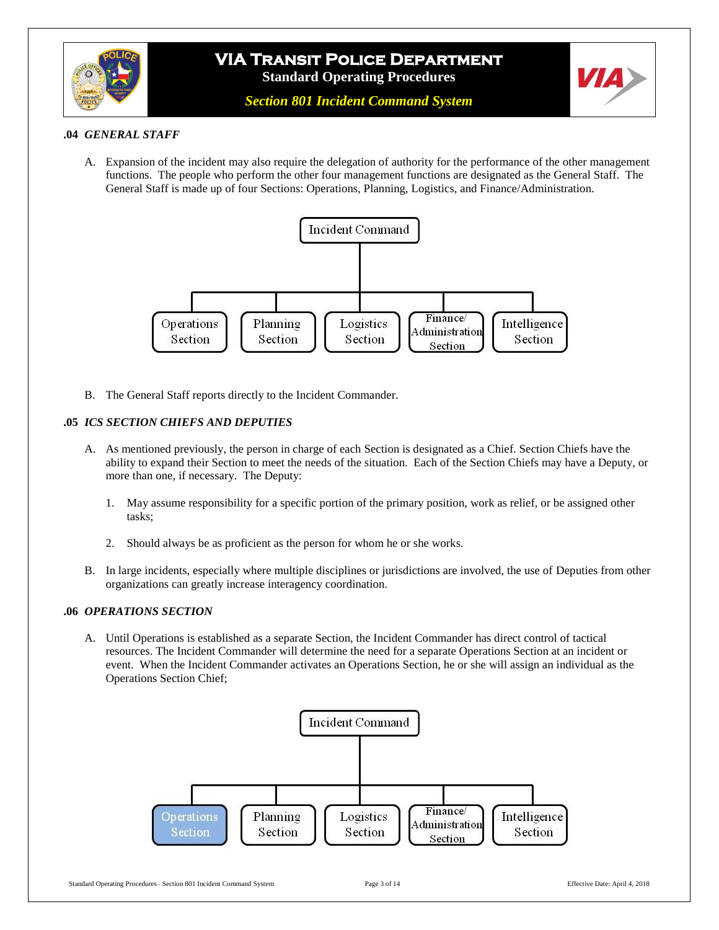





#### **.04** *GENERAL STAFF*

A. Expansion of the incident may also require the delegation of authority for the performance of the other management functions. The people who perform the other four management functions are designated as the General Staff. The General Staff is made up of four Sections: Operations, Planning, Logistics, and Finance/Administration.



B. The General Staff reports directly to the Incident Commander.

### **.05** *ICS SECTION CHIEFS AND DEPUTIES*

- A. As mentioned previously, the person in charge of each Section is designated as a Chief. Section Chiefs have the ability to expand their Section to meet the needs of the situation. Each of the Section Chiefs may have a Deputy, or more than one, if necessary. The Deputy:
	- 1. May assume responsibility for a specific portion of the primary position, work as relief, or be assigned other tasks;
	- 2. Should always be as proficient as the person for whom he or she works.
- B. In large incidents, especially where multiple disciplines or jurisdictions are involved, the use of Deputies from other organizations can greatly increase interagency coordination.

#### **.06** *OPERATIONS SECTION*

A. Until Operations is established as a separate Section, the Incident Commander has direct control of tactical resources. The Incident Commander will determine the need for a separate Operations Section at an incident or event. When the Incident Commander activates an Operations Section, he or she will assign an individual as the Operations Section Chief;

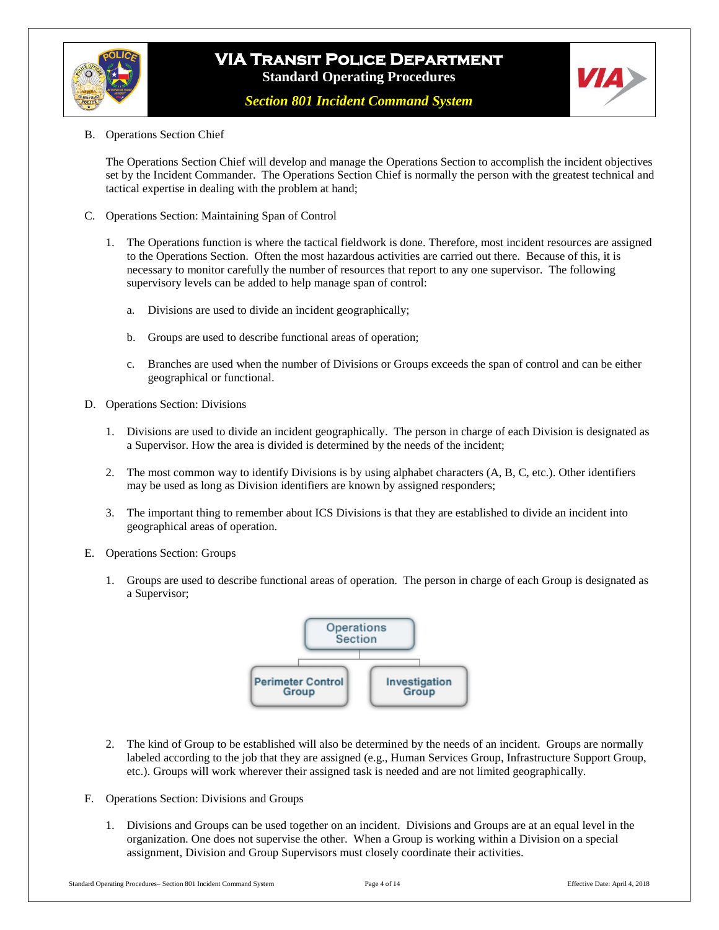

*Section 801 Incident Command System*



B. Operations Section Chief

The Operations Section Chief will develop and manage the Operations Section to accomplish the incident objectives set by the Incident Commander. The Operations Section Chief is normally the person with the greatest technical and tactical expertise in dealing with the problem at hand;

- C. Operations Section: Maintaining Span of Control
	- 1. The Operations function is where the tactical fieldwork is done. Therefore, most incident resources are assigned to the Operations Section. Often the most hazardous activities are carried out there. Because of this, it is necessary to monitor carefully the number of resources that report to any one supervisor. The following supervisory levels can be added to help manage span of control:
		- a. Divisions are used to divide an incident geographically;
		- b. Groups are used to describe functional areas of operation;
		- c. Branches are used when the number of Divisions or Groups exceeds the span of control and can be either geographical or functional.
- D. Operations Section: Divisions
	- 1. Divisions are used to divide an incident geographically. The person in charge of each Division is designated as a Supervisor. How the area is divided is determined by the needs of the incident;
	- 2. The most common way to identify Divisions is by using alphabet characters (A, B, C, etc.). Other identifiers may be used as long as Division identifiers are known by assigned responders;
	- 3. The important thing to remember about ICS Divisions is that they are established to divide an incident into geographical areas of operation.
- E. Operations Section: Groups
	- 1. Groups are used to describe functional areas of operation. The person in charge of each Group is designated as a Supervisor;



- 2. The kind of Group to be established will also be determined by the needs of an incident. Groups are normally labeled according to the job that they are assigned (e.g., Human Services Group, Infrastructure Support Group, etc.). Groups will work wherever their assigned task is needed and are not limited geographically.
- F. Operations Section: Divisions and Groups
	- 1. Divisions and Groups can be used together on an incident. Divisions and Groups are at an equal level in the organization. One does not supervise the other. When a Group is working within a Division on a special assignment, Division and Group Supervisors must closely coordinate their activities.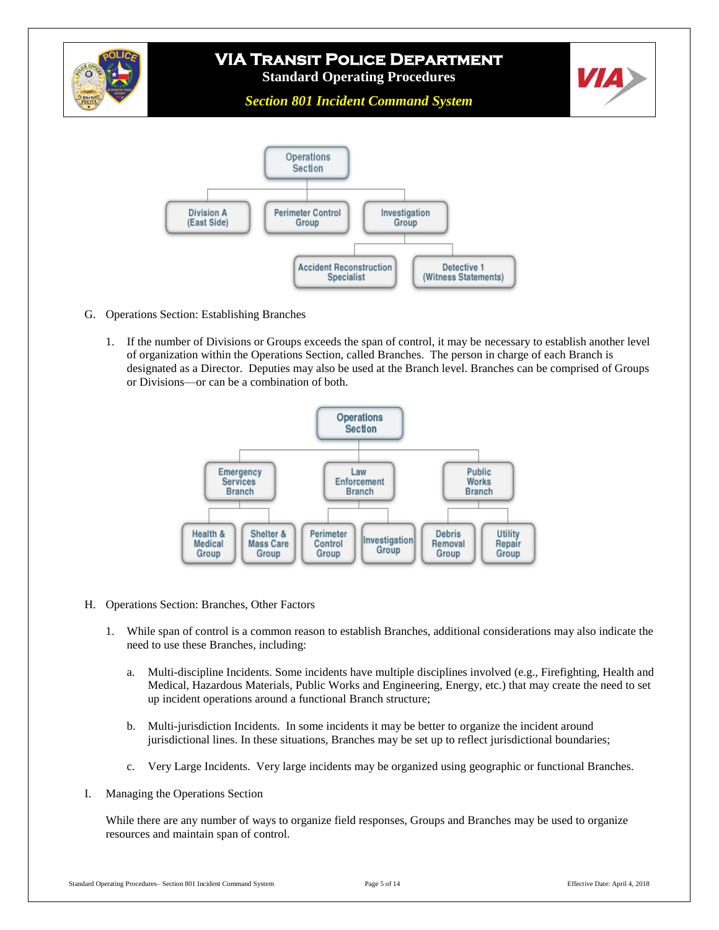

*Section 801 Incident Command System*

![](_page_4_Figure_3.jpeg)

- G. Operations Section: Establishing Branches
	- 1. If the number of Divisions or Groups exceeds the span of control, it may be necessary to establish another level of organization within the Operations Section, called Branches. The person in charge of each Branch is designated as a Director. Deputies may also be used at the Branch level. Branches can be comprised of Groups or Divisions—or can be a combination of both.

![](_page_4_Figure_6.jpeg)

- H. Operations Section: Branches, Other Factors
	- 1. While span of control is a common reason to establish Branches, additional considerations may also indicate the need to use these Branches, including:
		- a. Multi-discipline Incidents. Some incidents have multiple disciplines involved (e.g., Firefighting, Health and Medical, Hazardous Materials, Public Works and Engineering, Energy, etc.) that may create the need to set up incident operations around a functional Branch structure;
		- b. Multi-jurisdiction Incidents. In some incidents it may be better to organize the incident around jurisdictional lines. In these situations, Branches may be set up to reflect jurisdictional boundaries;
		- c. Very Large Incidents. Very large incidents may be organized using geographic or functional Branches.
- I. Managing the Operations Section

While there are any number of ways to organize field responses, Groups and Branches may be used to organize resources and maintain span of control.

**VIA**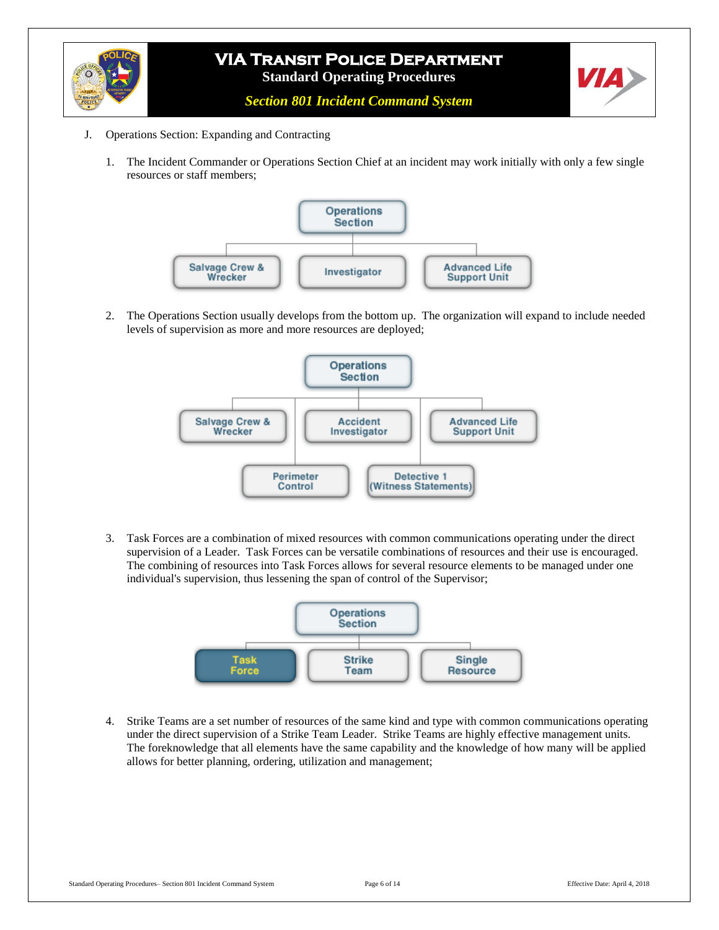![](_page_5_Picture_0.jpeg)

*Section 801 Incident Command System*

- J. Operations Section: Expanding and Contracting
	- 1. The Incident Commander or Operations Section Chief at an incident may work initially with only a few single resources or staff members;

![](_page_5_Figure_5.jpeg)

2. The Operations Section usually develops from the bottom up. The organization will expand to include needed levels of supervision as more and more resources are deployed;

![](_page_5_Figure_7.jpeg)

3. Task Forces are a combination of mixed resources with common communications operating under the direct supervision of a Leader. Task Forces can be versatile combinations of resources and their use is encouraged. The combining of resources into Task Forces allows for several resource elements to be managed under one individual's supervision, thus lessening the span of control of the Supervisor;

![](_page_5_Figure_9.jpeg)

4. Strike Teams are a set number of resources of the same kind and type with common communications operating under the direct supervision of a Strike Team Leader. Strike Teams are highly effective management units. The foreknowledge that all elements have the same capability and the knowledge of how many will be applied allows for better planning, ordering, utilization and management;

ИД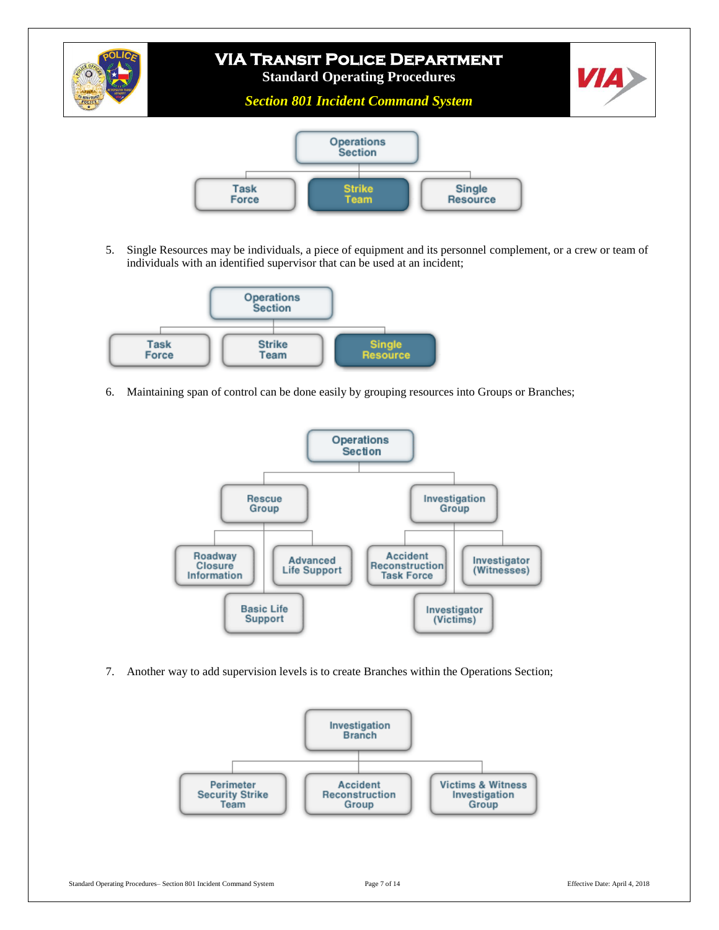![](_page_6_Picture_0.jpeg)

5. Single Resources may be individuals, a piece of equipment and its personnel complement, or a crew or team of individuals with an identified supervisor that can be used at an incident;

![](_page_6_Figure_2.jpeg)

6. Maintaining span of control can be done easily by grouping resources into Groups or Branches;

![](_page_6_Figure_4.jpeg)

7. Another way to add supervision levels is to create Branches within the Operations Section;

![](_page_6_Figure_6.jpeg)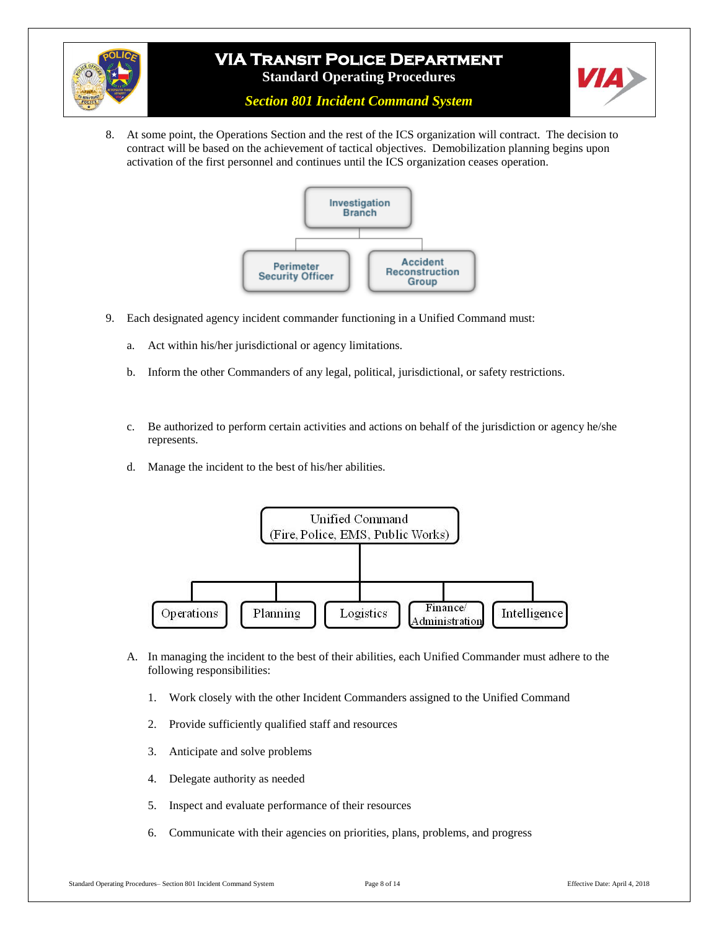![](_page_7_Picture_0.jpeg)

![](_page_7_Picture_2.jpeg)

*Section 801 Incident Command System*

8. At some point, the Operations Section and the rest of the ICS organization will contract. The decision to contract will be based on the achievement of tactical objectives. Demobilization planning begins upon activation of the first personnel and continues until the ICS organization ceases operation.

![](_page_7_Figure_5.jpeg)

- 9. Each designated agency incident commander functioning in a Unified Command must:
	- a. Act within his/her jurisdictional or agency limitations.
	- b. Inform the other Commanders of any legal, political, jurisdictional, or safety restrictions.
	- c. Be authorized to perform certain activities and actions on behalf of the jurisdiction or agency he/she represents.
	- d. Manage the incident to the best of his/her abilities.

![](_page_7_Figure_11.jpeg)

- A. In managing the incident to the best of their abilities, each Unified Commander must adhere to the following responsibilities:
	- 1. Work closely with the other Incident Commanders assigned to the Unified Command
	- 2. Provide sufficiently qualified staff and resources
	- 3. Anticipate and solve problems
	- 4. Delegate authority as needed
	- 5. Inspect and evaluate performance of their resources
	- 6. Communicate with their agencies on priorities, plans, problems, and progress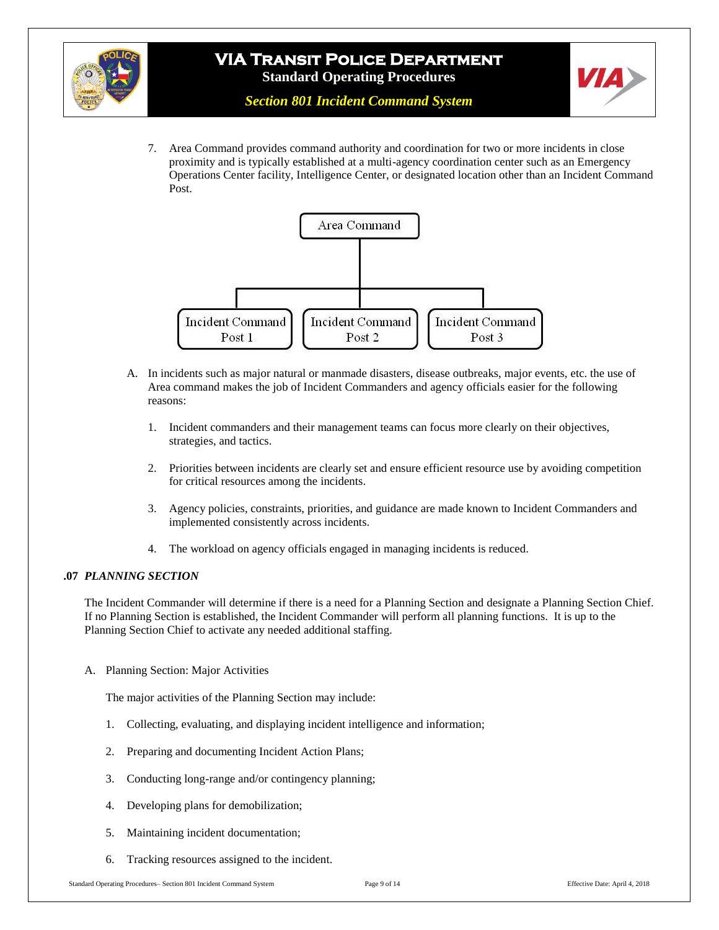![](_page_8_Picture_0.jpeg)

![](_page_8_Picture_2.jpeg)

7. Area Command provides command authority and coordination for two or more incidents in close proximity and is typically established at a multi-agency coordination center such as an Emergency Operations Center facility, Intelligence Center, or designated location other than an Incident Command Post.

![](_page_8_Figure_5.jpeg)

- A. In incidents such as major natural or manmade disasters, disease outbreaks, major events, etc. the use of Area command makes the job of Incident Commanders and agency officials easier for the following reasons:
	- 1. Incident commanders and their management teams can focus more clearly on their objectives, strategies, and tactics.
	- 2. Priorities between incidents are clearly set and ensure efficient resource use by avoiding competition for critical resources among the incidents.
	- 3. Agency policies, constraints, priorities, and guidance are made known to Incident Commanders and implemented consistently across incidents.
	- 4. The workload on agency officials engaged in managing incidents is reduced.

#### **.07** *PLANNING SECTION*

The Incident Commander will determine if there is a need for a Planning Section and designate a Planning Section Chief. If no Planning Section is established, the Incident Commander will perform all planning functions. It is up to the Planning Section Chief to activate any needed additional staffing.

A. Planning Section: Major Activities

The major activities of the Planning Section may include:

- 1. Collecting, evaluating, and displaying incident intelligence and information;
- 2. Preparing and documenting Incident Action Plans;
- 3. Conducting long-range and/or contingency planning;
- 4. Developing plans for demobilization;
- 5. Maintaining incident documentation;
- 6. Tracking resources assigned to the incident.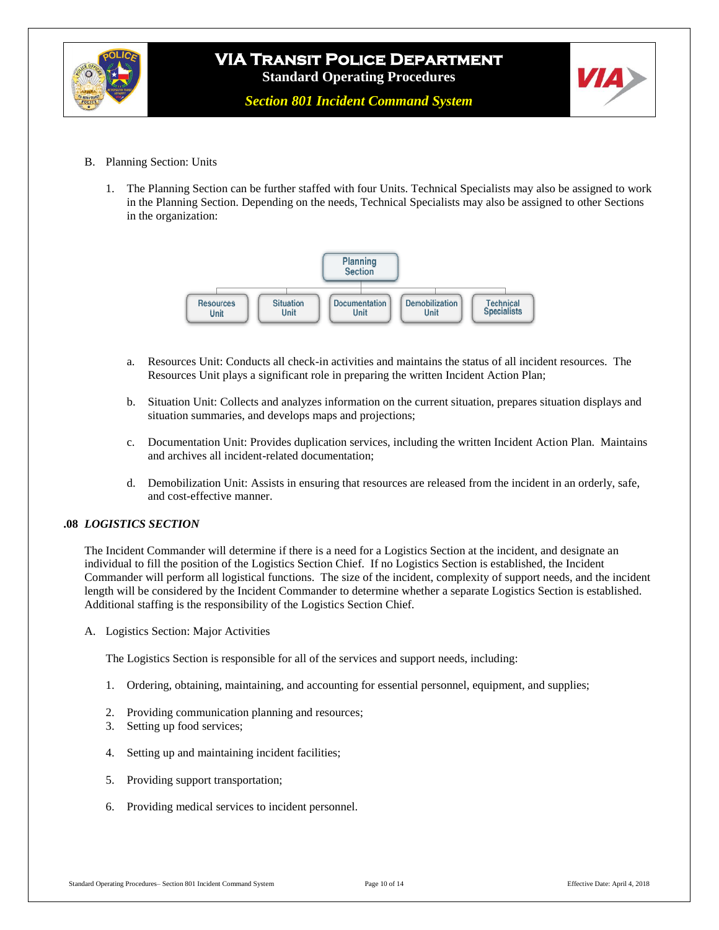![](_page_9_Picture_0.jpeg)

*Section 801 Incident Command System*

- B. Planning Section: Units
	- 1. The Planning Section can be further staffed with four Units. Technical Specialists may also be assigned to work in the Planning Section. Depending on the needs, Technical Specialists may also be assigned to other Sections in the organization:

![](_page_9_Figure_6.jpeg)

- a. Resources Unit: Conducts all check-in activities and maintains the status of all incident resources. The Resources Unit plays a significant role in preparing the written Incident Action Plan;
- b. Situation Unit: Collects and analyzes information on the current situation, prepares situation displays and situation summaries, and develops maps and projections;
- c. Documentation Unit: Provides duplication services, including the written Incident Action Plan. Maintains and archives all incident-related documentation;
- d. Demobilization Unit: Assists in ensuring that resources are released from the incident in an orderly, safe, and cost-effective manner.

#### **.08** *LOGISTICS SECTION*

The Incident Commander will determine if there is a need for a Logistics Section at the incident, and designate an individual to fill the position of the Logistics Section Chief. If no Logistics Section is established, the Incident Commander will perform all logistical functions. The size of the incident, complexity of support needs, and the incident length will be considered by the Incident Commander to determine whether a separate Logistics Section is established. Additional staffing is the responsibility of the Logistics Section Chief.

A. Logistics Section: Major Activities

The Logistics Section is responsible for all of the services and support needs, including:

- 1. Ordering, obtaining, maintaining, and accounting for essential personnel, equipment, and supplies;
- 2. Providing communication planning and resources;
- 3. Setting up food services;
- 4. Setting up and maintaining incident facilities;
- 5. Providing support transportation;
- 6. Providing medical services to incident personnel.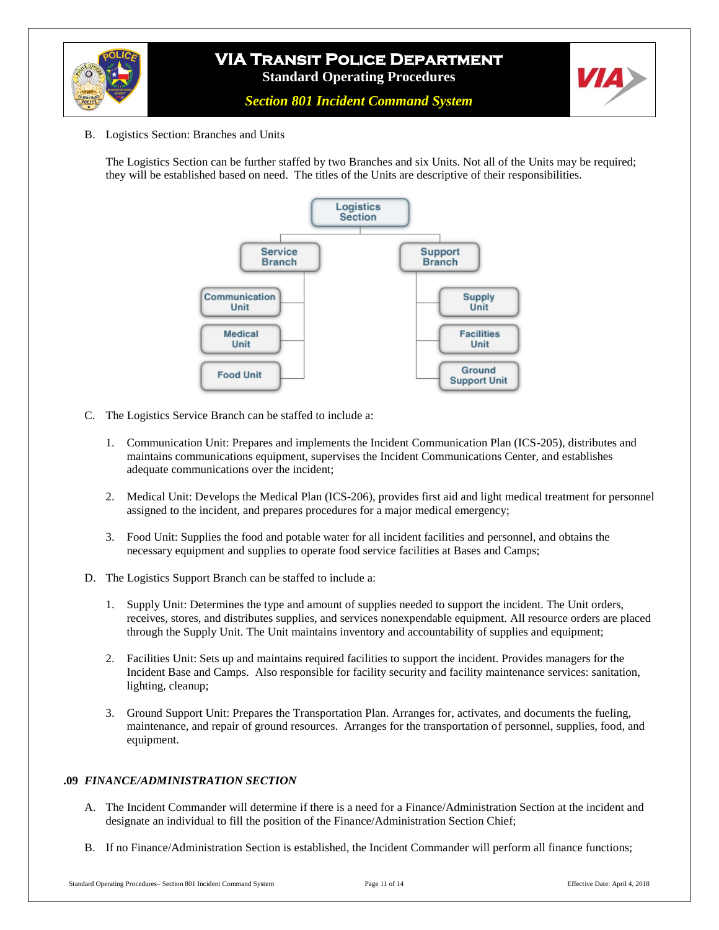![](_page_10_Picture_0.jpeg)

![](_page_10_Picture_2.jpeg)

- *Section 801 Incident Command System*
- B. Logistics Section: Branches and Units

The Logistics Section can be further staffed by two Branches and six Units. Not all of the Units may be required; they will be established based on need. The titles of the Units are descriptive of their responsibilities.

![](_page_10_Figure_6.jpeg)

- C. The Logistics Service Branch can be staffed to include a:
	- 1. Communication Unit: Prepares and implements the Incident Communication Plan (ICS-205), distributes and maintains communications equipment, supervises the Incident Communications Center, and establishes adequate communications over the incident;
	- 2. Medical Unit: Develops the Medical Plan (ICS-206), provides first aid and light medical treatment for personnel assigned to the incident, and prepares procedures for a major medical emergency;
	- 3. Food Unit: Supplies the food and potable water for all incident facilities and personnel, and obtains the necessary equipment and supplies to operate food service facilities at Bases and Camps;
- D. The Logistics Support Branch can be staffed to include a:
	- 1. Supply Unit: Determines the type and amount of supplies needed to support the incident. The Unit orders, receives, stores, and distributes supplies, and services nonexpendable equipment. All resource orders are placed through the Supply Unit. The Unit maintains inventory and accountability of supplies and equipment;
	- 2. Facilities Unit: Sets up and maintains required facilities to support the incident. Provides managers for the Incident Base and Camps. Also responsible for facility security and facility maintenance services: sanitation, lighting, cleanup;
	- 3. Ground Support Unit: Prepares the Transportation Plan. Arranges for, activates, and documents the fueling, maintenance, and repair of ground resources. Arranges for the transportation of personnel, supplies, food, and equipment.

#### **.09** *FINANCE/ADMINISTRATION SECTION*

- A. The Incident Commander will determine if there is a need for a Finance/Administration Section at the incident and designate an individual to fill the position of the Finance/Administration Section Chief;
- B. If no Finance/Administration Section is established, the Incident Commander will perform all finance functions;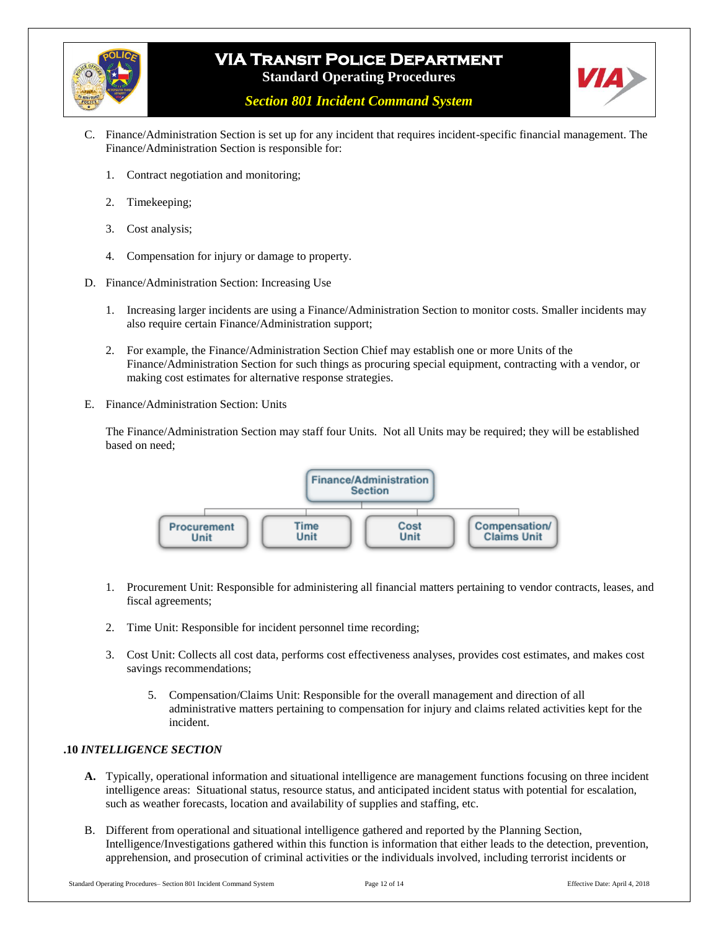![](_page_11_Picture_0.jpeg)

![](_page_11_Picture_2.jpeg)

*Section 801 Incident Command System*

- C. Finance/Administration Section is set up for any incident that requires incident-specific financial management. The Finance/Administration Section is responsible for:
	- 1. Contract negotiation and monitoring;
	- 2. Timekeeping;
	- 3. Cost analysis;
	- 4. Compensation for injury or damage to property.
- D. Finance/Administration Section: Increasing Use
	- 1. Increasing larger incidents are using a Finance/Administration Section to monitor costs. Smaller incidents may also require certain Finance/Administration support;
	- 2. For example, the Finance/Administration Section Chief may establish one or more Units of the Finance/Administration Section for such things as procuring special equipment, contracting with a vendor, or making cost estimates for alternative response strategies.
- E. Finance/Administration Section: Units

The Finance/Administration Section may staff four Units. Not all Units may be required; they will be established based on need;

![](_page_11_Figure_14.jpeg)

- 1. Procurement Unit: Responsible for administering all financial matters pertaining to vendor contracts, leases, and fiscal agreements;
- 2. Time Unit: Responsible for incident personnel time recording;
- 3. Cost Unit: Collects all cost data, performs cost effectiveness analyses, provides cost estimates, and makes cost savings recommendations;
	- 5. Compensation/Claims Unit: Responsible for the overall management and direction of all administrative matters pertaining to compensation for injury and claims related activities kept for the incident.

### **.10** *INTELLIGENCE SECTION*

- **A.** Typically, operational information and situational intelligence are management functions focusing on three incident intelligence areas: Situational status, resource status, and anticipated incident status with potential for escalation, such as weather forecasts, location and availability of supplies and staffing, etc.
- B. Different from operational and situational intelligence gathered and reported by the Planning Section, Intelligence/Investigations gathered within this function is information that either leads to the detection, prevention, apprehension, and prosecution of criminal activities or the individuals involved, including terrorist incidents or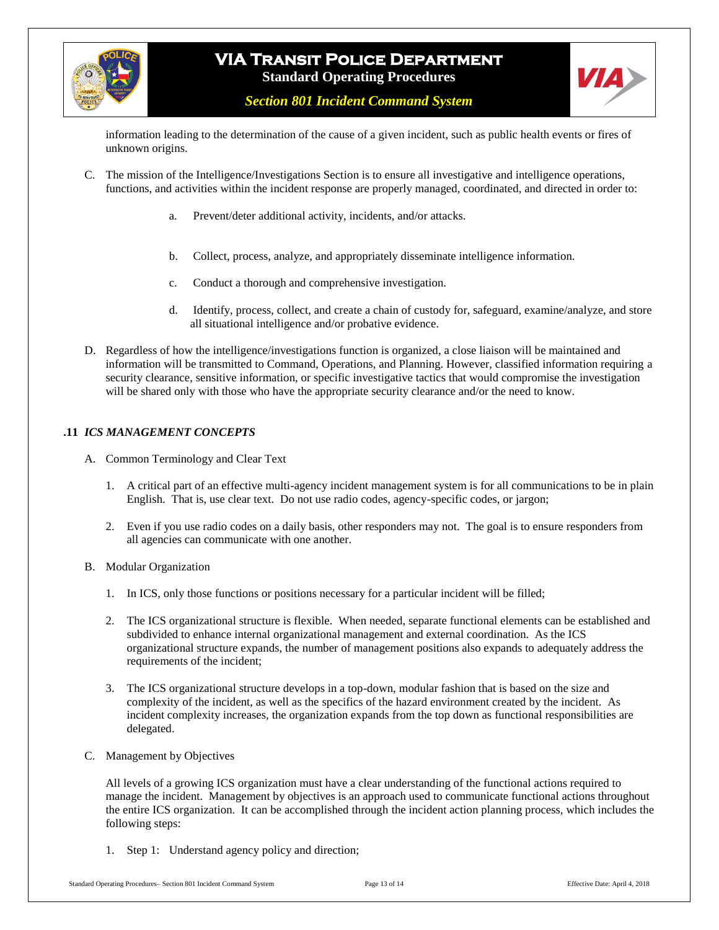![](_page_12_Picture_0.jpeg)

![](_page_12_Picture_2.jpeg)

*Section 801 Incident Command System*

information leading to the determination of the cause of a given incident, such as public health events or fires of unknown origins.

- C. The mission of the Intelligence/Investigations Section is to ensure all investigative and intelligence operations, functions, and activities within the incident response are properly managed, coordinated, and directed in order to:
	- a. Prevent/deter additional activity, incidents, and/or attacks.
	- b. Collect, process, analyze, and appropriately disseminate intelligence information.
	- c. Conduct a thorough and comprehensive investigation.
	- d. Identify, process, collect, and create a chain of custody for, safeguard, examine/analyze, and store all situational intelligence and/or probative evidence.
- D. Regardless of how the intelligence/investigations function is organized, a close liaison will be maintained and information will be transmitted to Command, Operations, and Planning. However, classified information requiring a security clearance, sensitive information, or specific investigative tactics that would compromise the investigation will be shared only with those who have the appropriate security clearance and/or the need to know.

#### **.11** *ICS MANAGEMENT CONCEPTS*

- A. Common Terminology and Clear Text
	- 1. A critical part of an effective multi-agency incident management system is for all communications to be in plain English. That is, use clear text. Do not use radio codes, agency-specific codes, or jargon;
	- 2. Even if you use radio codes on a daily basis, other responders may not. The goal is to ensure responders from all agencies can communicate with one another.
- B. Modular Organization
	- 1. In ICS, only those functions or positions necessary for a particular incident will be filled;
	- 2. The ICS organizational structure is flexible. When needed, separate functional elements can be established and subdivided to enhance internal organizational management and external coordination. As the ICS organizational structure expands, the number of management positions also expands to adequately address the requirements of the incident;
	- 3. The ICS organizational structure develops in a top-down, modular fashion that is based on the size and complexity of the incident, as well as the specifics of the hazard environment created by the incident. As incident complexity increases, the organization expands from the top down as functional responsibilities are delegated.
- C. Management by Objectives

All levels of a growing ICS organization must have a clear understanding of the functional actions required to manage the incident. Management by objectives is an approach used to communicate functional actions throughout the entire ICS organization. It can be accomplished through the incident action planning process, which includes the following steps:

1. Step 1: Understand agency policy and direction;